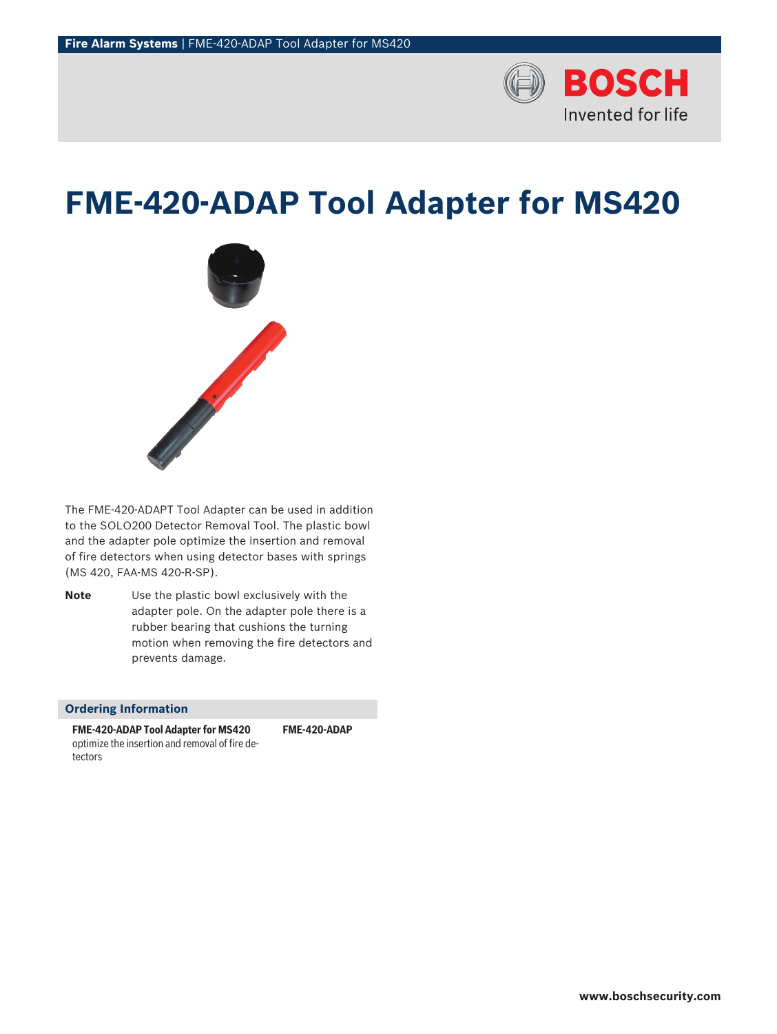

# **FME‑420‑ADAP Tool Adapter for MS420**



The FME-420-ADAPT Tool Adapter can be used in addition to the SOLO200 Detector Removal Tool. The plastic bowl and the adapter pole optimize the insertion and removal of fire detectors when using detector bases with springs (MS 420, FAA‑MS 420‑R‑SP).

**Note** Use the plastic bowl exclusively with the adapter pole. On the adapter pole there is a rubber bearing that cushions the turning motion when removing the fire detectors and prevents damage.

## **Ordering Information**

**FME‑420‑ADAP Tool Adapter for MS420** optimize the insertion and removal of fire detectors

**FME-420-ADAP**